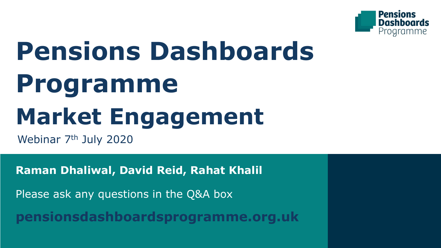

# **Pensions Dashboards Programme Market Engagement**

Webinar 7<sup>th</sup> July 2020

**Raman Dhaliwal, David Reid, Rahat Khalil** 

Please ask any questions in the Q&A box

**pensionsdashboardsprogramme.org.uk**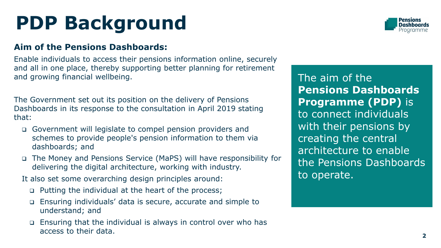## **PDP Background**

#### **Aim of the Pensions Dashboards:**

Enable individuals to access their pensions information online, securely and all in one place, thereby supporting better planning for retirement and growing financial wellbeing.

The Government set out its position on the delivery of Pensions Dashboards in its response to the consultation in April 2019 stating that:

- ❑ Government will legislate to compel pension providers and schemes to provide people's pension information to them via dashboards; and
- ❑ The Money and Pensions Service (MaPS) will have responsibility for delivering the digital architecture, working with industry.

It also set some overarching design principles around:

- ❑ Putting the individual at the heart of the process;
- ❑ Ensuring individuals' data is secure, accurate and simple to understand; and
- ❑ Ensuring that the individual is always in control over who has access to their data.

The aim of the **Pensions Dashboards Programme (PDP)** is to connect individuals with their pensions by creating the central architecture to enable the Pensions Dashboards to operate.

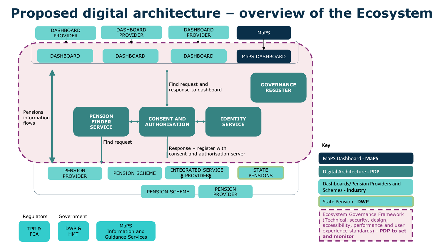### **Proposed digital architecture – overview of the Ecosystem**

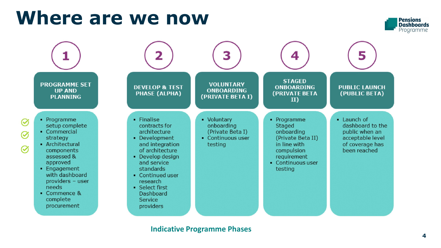## **Where are we now**





#### **Indicative Programme Phases**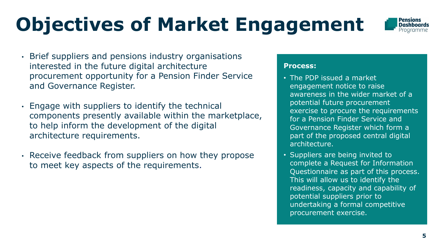## **Objectives of Market Engagement**



- Brief suppliers and pensions industry organisations interested in the future digital architecture procurement opportunity for a Pension Finder Service and Governance Register.
- Engage with suppliers to identify the technical components presently available within the marketplace, to help inform the development of the digital architecture requirements.
- Receive feedback from suppliers on how they propose to meet key aspects of the requirements.

#### **Process:**

- The PDP issued a market engagement notice to raise awareness in the wider market of a potential future procurement exercise to procure the requirements for a Pension Finder Service and Governance Register which form a part of the proposed central digital architecture.
- Suppliers are being invited to complete a Request for Information Questionnaire as part of this process. This will allow us to identify the readiness, capacity and capability of potential suppliers prior to undertaking a formal competitive procurement exercise.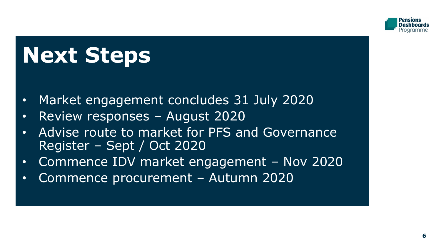

# **Next Steps**

- Market engagement concludes 31 July 2020
- Review responses August 2020
- Advise route to market for PFS and Governance Register – Sept / Oct 2020
- Commence IDV market engagement Nov 2020
- Commence procurement Autumn 2020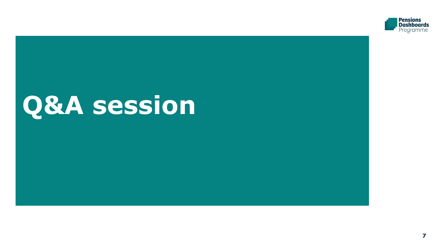

# **Q&A session**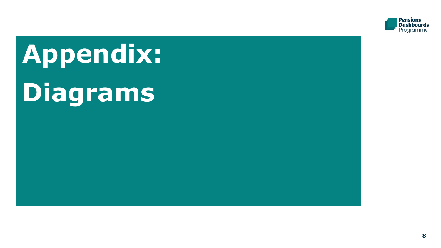

# **Appendix: Diagrams**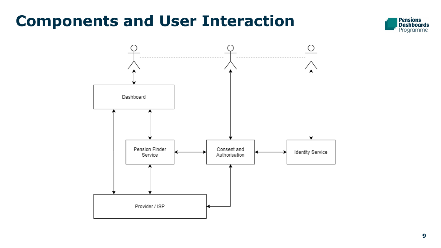### **Components and User Interaction**